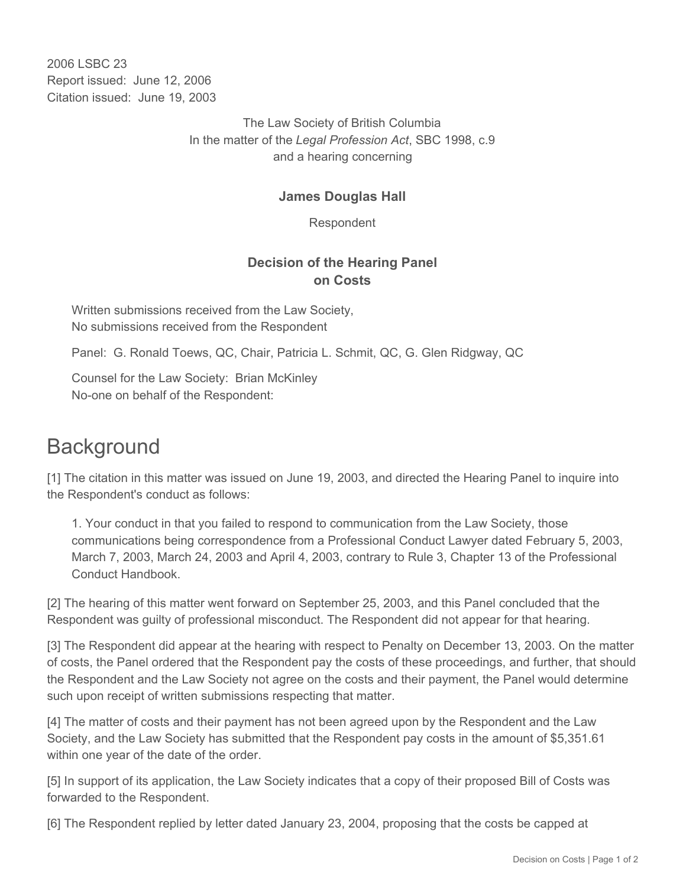2006 LSBC 23 Report issued: June 12, 2006 Citation issued: June 19, 2003

> The Law Society of British Columbia In the matter of the *Legal Profession Act*, SBC 1998, c.9 and a hearing concerning

## **James Douglas Hall**

Respondent

## **Decision of the Hearing Panel on Costs**

Written submissions received from the Law Society, No submissions received from the Respondent

Panel: G. Ronald Toews, QC, Chair, Patricia L. Schmit, QC, G. Glen Ridgway, QC

Counsel for the Law Society: Brian McKinley No-one on behalf of the Respondent:

## **Background**

[1] The citation in this matter was issued on June 19, 2003, and directed the Hearing Panel to inquire into the Respondent's conduct as follows:

1. Your conduct in that you failed to respond to communication from the Law Society, those communications being correspondence from a Professional Conduct Lawyer dated February 5, 2003, March 7, 2003, March 24, 2003 and April 4, 2003, contrary to Rule 3, Chapter 13 of the Professional Conduct Handbook.

[2] The hearing of this matter went forward on September 25, 2003, and this Panel concluded that the Respondent was guilty of professional misconduct. The Respondent did not appear for that hearing.

[3] The Respondent did appear at the hearing with respect to Penalty on December 13, 2003. On the matter of costs, the Panel ordered that the Respondent pay the costs of these proceedings, and further, that should the Respondent and the Law Society not agree on the costs and their payment, the Panel would determine such upon receipt of written submissions respecting that matter.

[4] The matter of costs and their payment has not been agreed upon by the Respondent and the Law Society, and the Law Society has submitted that the Respondent pay costs in the amount of \$5,351.61 within one year of the date of the order.

[5] In support of its application, the Law Society indicates that a copy of their proposed Bill of Costs was forwarded to the Respondent.

[6] The Respondent replied by letter dated January 23, 2004, proposing that the costs be capped at